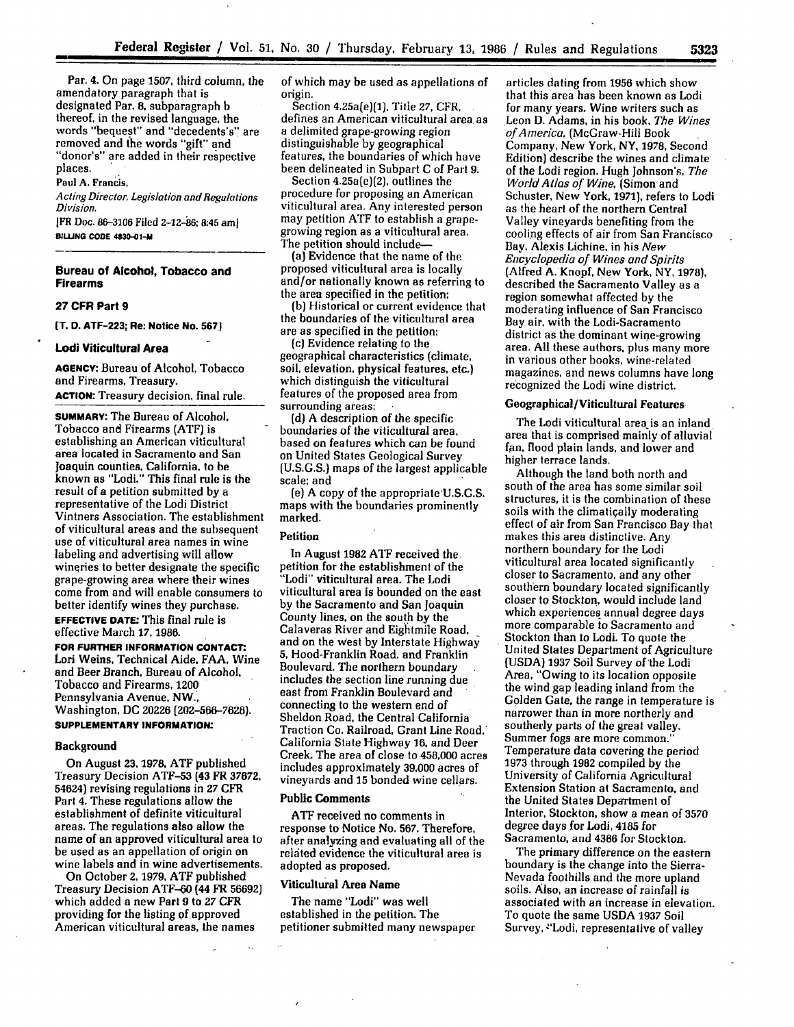Par. 4. On page **1507,** third column, the amendatory paragraph that is designated Par. 8, subparagraph b thereof, in the revised language, the words "bequest" and "decedents's" are removed and **the** words "gift" and "donor's" are added in their respective places.

Paul A. Francis,

*Acting Director, Legislation and Regulations Division.*

**[FR** Doc. 86-3106 Filed 2-12-86: 8:45 aml **BUJNG CODE 4830-01-M**

### **Bureau of Alcohol, Tobacco and Firearms**

### **27 CFR Part 9**

**fT. D. ATF-223; Re: Notice No. 5671**

#### **Lodi Viticultural Area**

**AGENCY: Bureau** of Alcohol, Tobacco and Firearms, Treasury. **ACTION:** Treasury decision, final rule.

**SUMMARY:** The Bureau of Alcohol. Tobacco and Firearms (ATF) is area located in Sacramento and San Joaquin counties, California, to **be** known as "Lodi." This final rule is the result of a petition submitted **by** a representative of the Lodi District Vintners Association. The establishment of viticultural areas and the subsequent use of viticultural area names in wine labeling and advertising will allow wineries to better designate the specific grape-growing area where their wines come from and will enable consumers to better identify wines they purchase. **EFFECTIVE DATE:** This final rule is effective March **17,** 1986.

**FOR FURTHER INFORMATION CONTACT.** Lori Weins, Technical Aide. **FAA,** Wine and Beer Branch, Bureau of Alcohol. Tobacco and Firearms, 1200 Pennsylvania Avenue, NW., Washington, **DC** 20226 [202-566-7626).

# **SUPPLEMENTARY INFORMATION:**

### Background

On August **23, 1978, ATF** published Treasury Decision **ATF-53** (43 FR **37672,** 54624) revising regulations in 27 CFR Part 4. These regulations allow the establishment of definite viticultural areas. The regulations also allow the name of an approved viticultural area to be used as an appellation of origin on wine labels and in wine advertisements.

On October **2,** 1979, **ATF** published Treasury Decision ATF-60 (44 FR 56692) which added a new Part 9 to *27* CFR providing for the listing **of** approved American viticultural areas, the names

of which may be used as appellations of origin.

Section 4.25a(e)(1), Title 27, CFR. defines an American viticultural area as<br>a delimited grape-growing region distinguishable by geographical features, the boundaries of which have been delineated in Subpart C of Part **9.**

Section  $4.25a(e)(2)$ , outlines the procedure for proposing an American viticultural area. Any interested person may petition ATF to establish a grapegrowing region as a viticultural area. The petition should include-

(a) Evidence that the name of the proposed viticultural area is locally and/or nationally known as referring to the area specified in the petition;

**(b)** Historical or current evidence that are as specified in the petition;

(c) Evidence relating to the geographical characteristics (climate, soil, elevation, physical features, etc.) which distinguish the viticultural features of the proposed area from surrounding areas;

**(d)** A description of the specific based on features which can be found on United States Geological Survey (U.S.G.S.) maps of the largest applicable scale; and

**(e)** A copy of the appropriate'U.S.G.S. maps with the boundaries prominently marked.

## Petition

In August **1982 ATF** received the petition for the establishment of the "Lodi" viticultural area. The Lodi viticultural area is bounded on the east **by** the Sacramento and San Joaquin County lines, on the south **by** the Calaveras River and Eightmile Road. and on the West by Interstate Highway **5,** Hood-Franklin Road, and Franklin Boulevard. The northern boundary includes the section line running due east from Franklin Boulevard and connecting to the western end of Sheldon Road, the Central California Traction Co. Railroad, Grant Line Road, California State Highway **16.** and Deer Creek. The area of close to 458,000 acres includes approximately **39,000** acres of vineyards and **15** bonded wine cellars.

#### Public Comments

**ATF** received no comments in response to Notice No. 567. Therefore, after analyzing and evaluating all of **the** related evidence the viticultural area is adopted as proposed.

# Viticultural Area Name

The name "Lodi" was well established in the petition. The petitioner submitted many newspaper

articles dating from 1956 which show that this area has been known as Lodi for many years. Wine writers such as Leon D. Adams, in his book, *The Wines of America,* (McGraw-Hill Book Company, New York, NY, **1978,** Second Edition) describe the wines and climate of the Lodi region. Hugh Johnson's, *The* World Atlas of *Wine,* (Simon and Schuster, New York, **1971),** refers to Lodi as the heart of the northern Central Valley vineyards benefiting from the cooling effects of air from San Francisco Bay. Alexis Lichine, in his *New* Encyclopedia of Wines and Spirits (Alfred A. Knopf, New York, NY, 1978), described the Sacramento Valley as a region somewhat affected by the moderating influence of San Francisco Bay air, with the Lodi-Sacramento district as the dominant wine-growing area. **All** these authors, plus many more in various other books, wine-related magazines, and news columns have long recognized the Lodi wine district.

### Geographical/Viticultural Features

The Lodi viticultural area is an inland area that is comprised mainly of alluvial fan, flood plain lands, and lower and higher terrace lands.

Although the land both north and south of the area has some similar soil structures, it is the combination of these soils with the climatigally moderating effect of air from San Francisco Bay that makes this area distinctive. Any northern boundary for the Lodi viticultural area located significantly closer to Sacramento. and any other southern boundary located significantly closer to Stockton. would include land which experiences annual degree days more comparable to Sacramento and Stockton than to Lodi. To quote the United States Department of Agriculture (USDA) 1937 Soil Survey of the Lodi Area, "Owing to its location opposite the wind gap leading inland from the Golden Gate, the range in temperature is narrower than in more northerly and southerly parts of the great valley. Summer fogs are more common." Temperature data covering the period 1973 through 1982 compiled by the University of California Agricultural Extension Station at Sacramento. and the United States Department of Interior, Stockton, show a mean of **3570** degree days for Lodi, 4185 for Sacramento, and 4366 for Stockton.

The primary difference on the eastern boundary is the change into the Sierra-Nevada foothills and the more upland soils. Also, an increase of rainfall is associated with an increase in elevation. To quote the same **USDA 1937** Soil Survey, "Lodi, representative of valley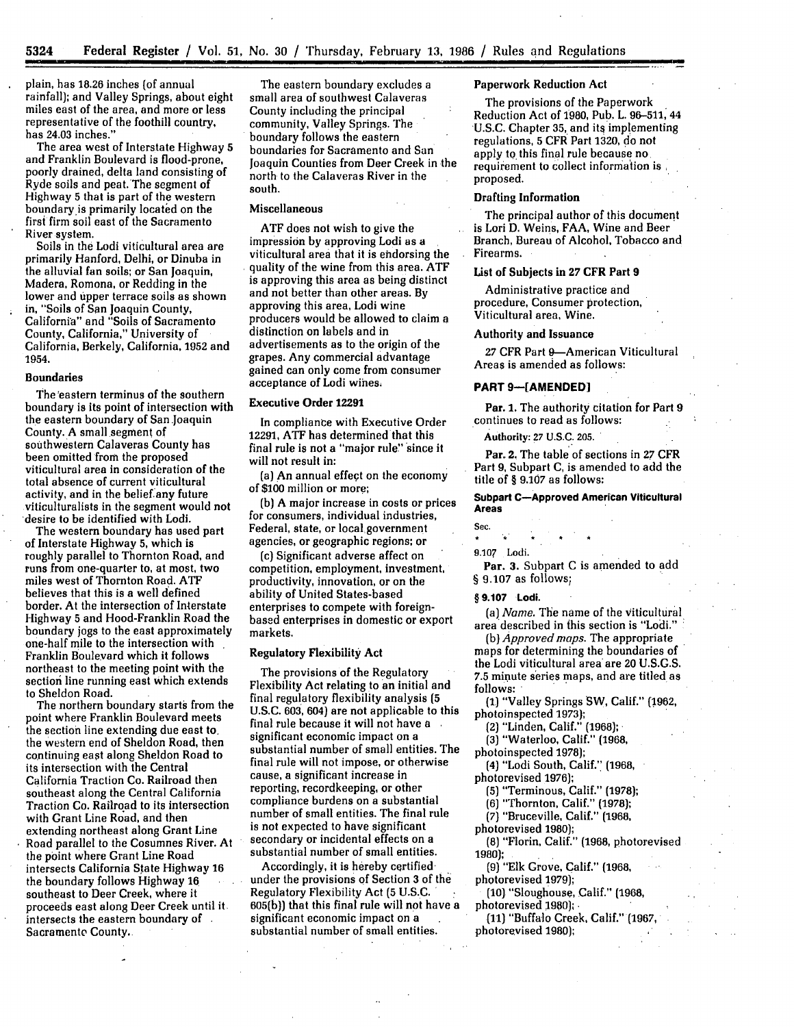plain, has 18.26 inches (of annual rainfall); and Valley Springs, about eight miles east of the area, and more or less representative of the foothill country, has 24.03 inches."

The area west of Interstate Highway **5** and Franklin Boulevard is flood-prone, poorly drained, delta land consisting of Ryde soils and peat.The segment of Highway **5** that is part of the western boundary is primarily located on the first firm soil east of the Sacramento River system.

Soils in the Lodi viticultural area are primarily Hanford, Delhi, or Dinuba in the alluvial fan soils; or San Joaquin, Madera, Romona, or Redding in the lower and upper terrace soils as shown in, "Soils of San Joaquin County, California" and "Soils of Sacramento County, California," University of California, Berkely, California, 1952 and 1954.

#### Boundaries

The 'eastern terminus of the southern boundary is its point of intersection with the eastern boundary of San.Joaquin County. A small segment of southwestern Calaveras County has been omitted from the proposed viticultural area in consideration of the total absence of current viticultural activity, and in the belief any future viticulturalists in the segment would not desire to be identified with Lodi.

The western boundary has used part of Interstate Highway **5,** which is roughly parallel to Thornton Road, and runs from one-quarter to, at most, two miles west of Thornton Road. ATF believes that this is a well defined border. At the intersection of Interstate Highway **5** and Hood-Franklin Road the boundary jogs to the east approximately one-half mile to the intersection with Franklin Boulevard which it follows northeast to the meeting point with the section line running east which extends to Sheldon Road.

The northern boundary starts from the point where Franklin Boulevard meets the section line extending due east to. the western end of Sheldon Road, then continuing east along Sheldon Road to its intersection with the Central California Traction Co. Railroad then southeast along the Central California Traction Co. Railroad to its intersection with Grant Line Road, and then extending northeast along Grant Line Road parallel to the Cosumnes River. At the point where Grant Line Road intersects California State Highway 16 the boundary follows Highway 16 southeast to Deer Creek, where it proceeds east along Deer Creek until **it.** intersects the eastern boundary of Sacramento County.

The eastern boundary excludes a small area of southwest Calaveras County including the principal community, Valley Springs. The boundary follows the eastern boundaries for Sacramento and San Joaquin Counties from Deer Creek in the north to the Calaveras River in the south.

### Miscellaneous

**ATF** does not wish to give the impression by approving Lodi as a viticultural area that it is endorsing the quality of the wine from this area. ATF is approving this area as being distinct and not better than other areas. By approving this area, Lodi wine producers would be allowed to claim a distinction on labels and in advertisements as to the origin of the grapes. Any commercial advantage gained can only come from consumer acceptance of Lodi wihes.

# Executive Order **12291**

In compliance with Executive Order **12291, ATF** has determined that this final rule is not a "major rule" since it will not result in:

(a) An annual effect on the economy of \$100 million or more;

(b) A major increase in costs or prices for consumers, individual industries, Federal, state, or local government agencies, or geographic regions; or

(c) Significant adverse affect on competition, employment, investment, productivity, innovation, or on the ability of United States-based enterprises to compete with foreignbased enterprises in domestic or export markets.

# Regulatory Flexibility **Act**

The provisions of the Regulatory Flexibility Act relating to an initial and final regulatory flexibility analysis **(5 U.S.C. 603,** 604) are not applicable to this final rule because it will not have a significant economic impact on a substantial number of small entities. The final rule will not impose, or otherwise cause, a significant increase in reporting, recordkeeping, or other compliance burdens on a substantial number of small entities. The final rule is not expected to have significant secondary or incidental effects on a substantial number of small entities.

Accordingly, **it** is hereby certified under the provisions of Section **3** of the Regulatory Flexibility Act **(5** U.S.C. **:** 605(b)) that this final rule will not have a significant economic impact on a substantial number of small entities.

### **Paperwork Reduction Act**

The provisions of the Paperwork Reduction Act of **1980,** Pub. L. **96-511,** 44 U.S.C. Chapter **35,** and its implementing regulations, **5** CFR Part **1320,** do not apply to this final rule because no. requirement to collect information is proposed.

### **Drafting Information**

The principal author of this document is Lori **D.** Weins, FAA, Wine and Beer Branch, Bureau of Alcohol, Tobacco and Firearms.

# List **of** Subjects in **27 CFR Part 9**

Administrative practice and procedure, Consumer protection, Viticultural area, Wine.

#### Authority and Issuance

27 CFR Part 9-American Viticultural Areas is amended as follows:

### **PART 9-[AMENDED]**

**Par. 1. The** authority citation for Part **9** continues to read as follows:

Authority: **27 U.S.C. 205.**

Par. **2. The** table of sections in **27** CFR Part **9,** Subpart **C,** is amended to add **the** title of § **9.107 as** follows:

**Subpart C-Approved American Viticultural Areas**

# **Sec.**

**9.107** Lodi.

Par. **3.** Subpart **C** is amended to **add**

**§** 9.107 as follows;

**§ 9.107 Lodi.**

(a) *Name.* The name of the viticultural area described in this section is "Lodi."

(b) *Approved maps.* The appropriate maps for determining the boundaries of the Lodi viticultural area are 20 U.S.G.S. 7.5 minute series maps, and are titled as follows:

**(1)** "Valley Springs SW, Calif." (1962, photoinspected **1973);**

(2) "Linden, Calif." (1968); **-**

**(3)** "Waterloo, Calif." **(1968,**

photoinspected 1978);

(4) "Lodi South, Calif." (1968, photorevised 1976);

**(5)** "Terminous, Calif." (1978);

(6) "Thornton, Calif." **(1978);**

*(7)* "Bruceville, Calif." (1968,

photorevised 1980);

**(8)** "Florin, Calif." (1968, photorevised 1980);

**(9)** "Elk Grove, Calif." (1968, photorevised **1979);**

**(10)** "Sloughouse, Calif." **(1968,** photorevised 1980);

**(11)** "Buffalo Creek, Calif." **(1967,** photorevised 1980);